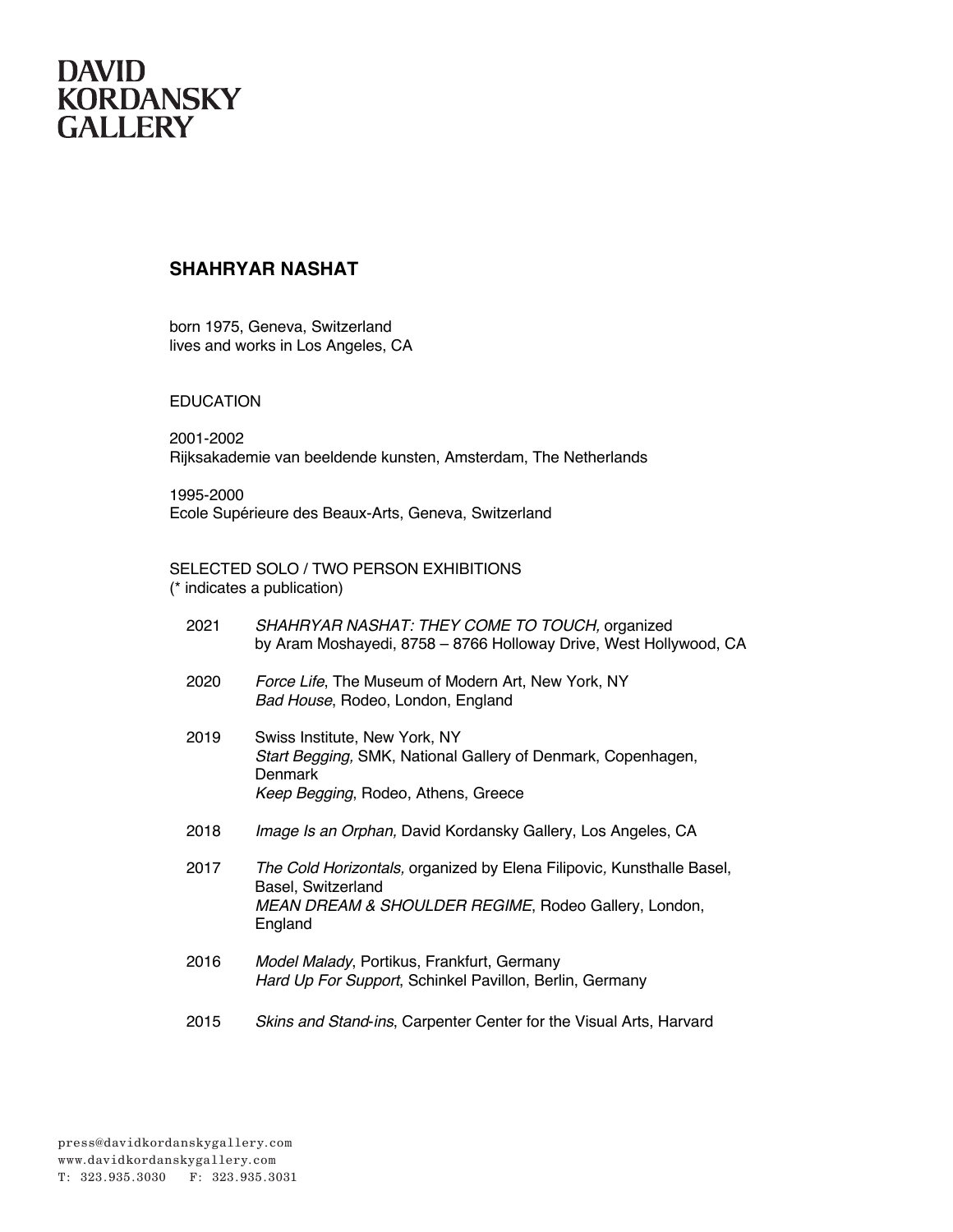### **SHAHRYAR NASHAT**

born 1975, Geneva, Switzerland lives and works in Los Angeles, CA

#### EDUCATION

2001-2002 Rijksakademie van beeldende kunsten, Amsterdam, The Netherlands

1995-2000 Ecole Supérieure des Beaux-Arts, Geneva, Switzerland

### SELECTED SOLO / TWO PERSON EXHIBITIONS

(\* indicates a publication)

| 2021 | SHAHRYAR NASHAT: THEY COME TO TOUCH, organized<br>by Aram Moshayedi, 8758 - 8766 Holloway Drive, West Hollywood, CA                                            |
|------|----------------------------------------------------------------------------------------------------------------------------------------------------------------|
| 2020 | Force Life, The Museum of Modern Art, New York, NY<br>Bad House, Rodeo, London, England                                                                        |
| 2019 | Swiss Institute, New York, NY<br>Start Begging, SMK, National Gallery of Denmark, Copenhagen,<br>Denmark<br>Keep Begging, Rodeo, Athens, Greece                |
| 2018 | Image Is an Orphan, David Kordansky Gallery, Los Angeles, CA                                                                                                   |
| 2017 | The Cold Horizontals, organized by Elena Filipovic, Kunsthalle Basel,<br>Basel, Switzerland<br>MEAN DREAM & SHOULDER REGIME, Rodeo Gallery, London,<br>England |
| 2016 | Model Malady, Portikus, Frankfurt, Germany<br>Hard Up For Support, Schinkel Pavillon, Berlin, Germany                                                          |
| 2015 | Skins and Stand-ins, Carpenter Center for the Visual Arts, Harvard                                                                                             |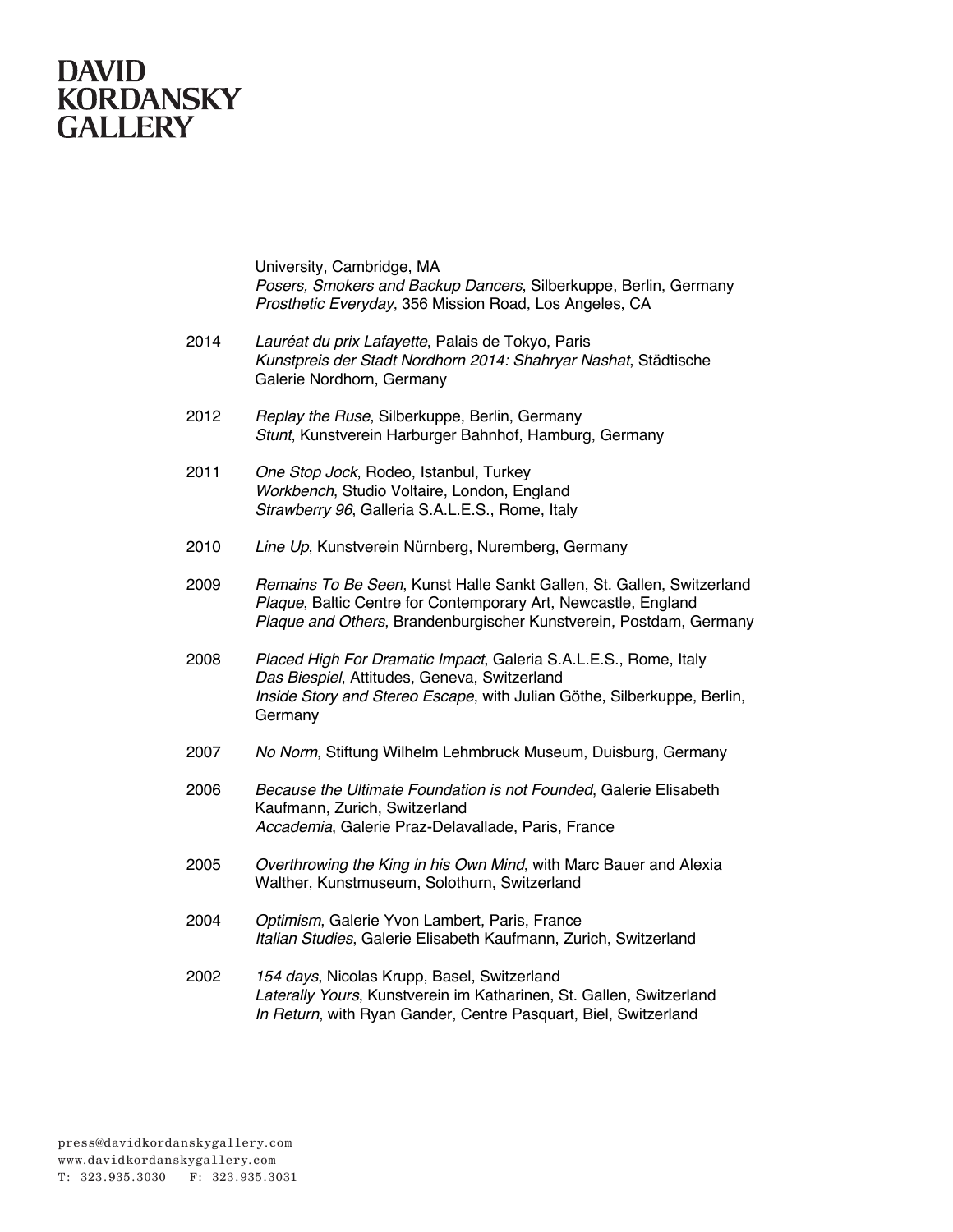# **DAVID<br>KORDANSKY<br>GALLERY**

University, Cambridge, MA *Posers, Smokers and Backup Dancers*, Silberkuppe, Berlin, Germany *Prosthetic Everyday*, 356 Mission Road, Los Angeles, CA

| 2014 | Lauréat du prix Lafayette, Palais de Tokyo, Paris<br>Kunstpreis der Stadt Nordhorn 2014: Shahryar Nashat, Städtische<br>Galerie Nordhorn, Germany                                                             |
|------|---------------------------------------------------------------------------------------------------------------------------------------------------------------------------------------------------------------|
| 2012 | Replay the Ruse, Silberkuppe, Berlin, Germany<br>Stunt, Kunstverein Harburger Bahnhof, Hamburg, Germany                                                                                                       |
| 2011 | One Stop Jock, Rodeo, Istanbul, Turkey<br>Workbench, Studio Voltaire, London, England<br>Strawberry 96, Galleria S.A.L.E.S., Rome, Italy                                                                      |
| 2010 | Line Up, Kunstverein Nürnberg, Nuremberg, Germany                                                                                                                                                             |
| 2009 | Remains To Be Seen, Kunst Halle Sankt Gallen, St. Gallen, Switzerland<br>Plaque, Baltic Centre for Contemporary Art, Newcastle, England<br>Plaque and Others, Brandenburgischer Kunstverein, Postdam, Germany |
| 2008 | Placed High For Dramatic Impact, Galeria S.A.L.E.S., Rome, Italy<br>Das Biespiel, Attitudes, Geneva, Switzerland<br>Inside Story and Stereo Escape, with Julian Göthe, Silberkuppe, Berlin,<br>Germany        |
| 2007 | No Norm, Stiftung Wilhelm Lehmbruck Museum, Duisburg, Germany                                                                                                                                                 |
| 2006 | Because the Ultimate Foundation is not Founded, Galerie Elisabeth<br>Kaufmann, Zurich, Switzerland<br>Accademia, Galerie Praz-Delavallade, Paris, France                                                      |
| 2005 | Overthrowing the King in his Own Mind, with Marc Bauer and Alexia<br>Walther, Kunstmuseum, Solothurn, Switzerland                                                                                             |
| 2004 | Optimism, Galerie Yvon Lambert, Paris, France<br>Italian Studies, Galerie Elisabeth Kaufmann, Zurich, Switzerland                                                                                             |
| 2002 | 154 days, Nicolas Krupp, Basel, Switzerland<br>Laterally Yours, Kunstverein im Katharinen, St. Gallen, Switzerland<br>In Return, with Ryan Gander, Centre Pasquart, Biel, Switzerland                         |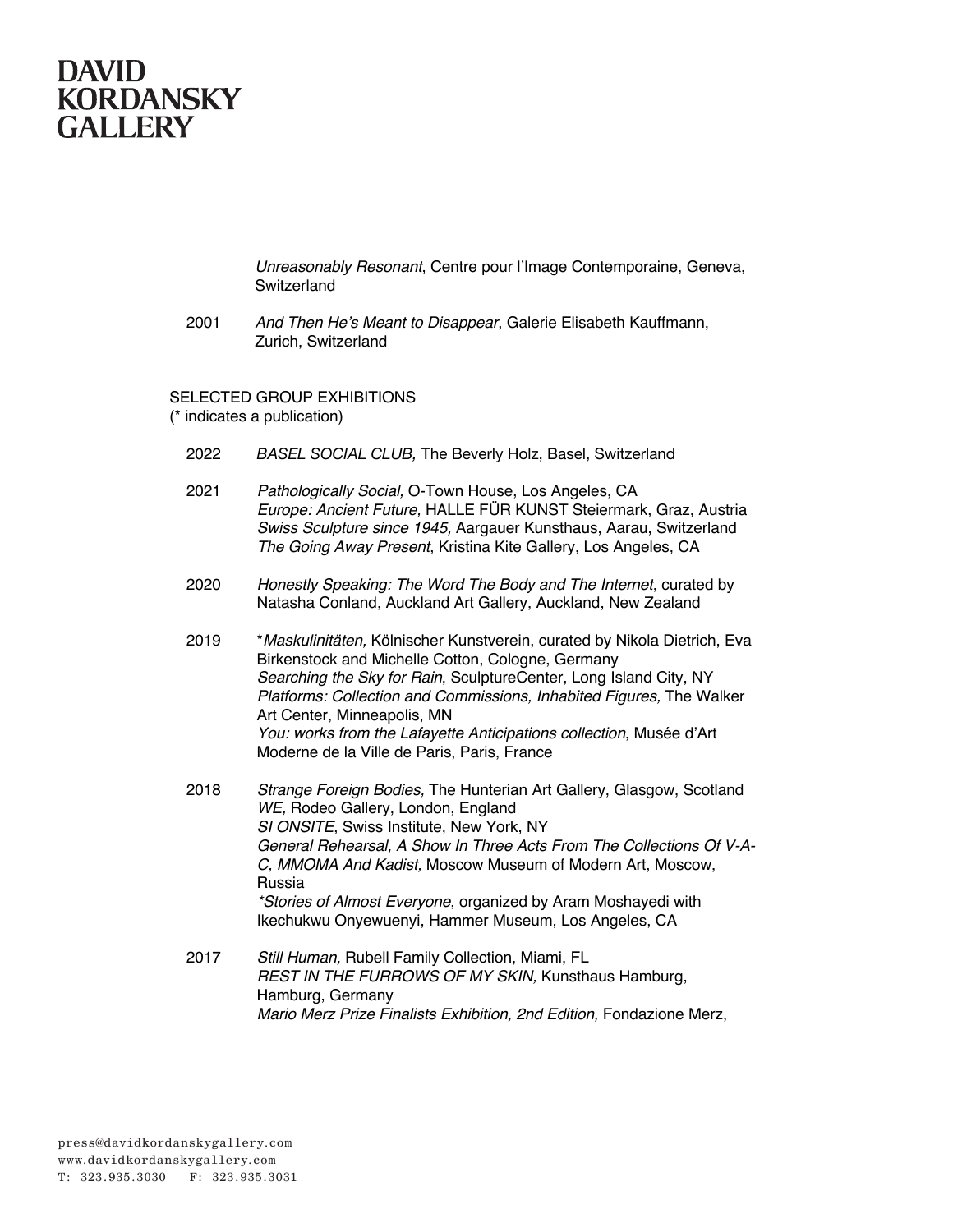

*Unreasonably Resonant*, Centre pour l'Image Contemporaine, Geneva, **Switzerland** 

2001 *And Then He's Meant to Disappear*, Galerie Elisabeth Kauffmann, Zurich, Switzerland

SELECTED GROUP EXHIBITIONS

(\* indicates a publication)

- 2022 *BASEL SOCIAL CLUB,* The Beverly Holz, Basel, Switzerland
- 2021 *Pathologically Social,* O-Town House, Los Angeles, CA *Europe: Ancient Future,* HALLE FÜR KUNST Steiermark, Graz, Austria *Swiss Sculpture since 1945,* Aargauer Kunsthaus, Aarau, Switzerland *The Going Away Present*, Kristina Kite Gallery, Los Angeles, CA
- 2020 *Honestly Speaking: The Word The Body and The Internet*, curated by Natasha Conland, Auckland Art Gallery, Auckland, New Zealand
- 2019 \**Maskulinitäten,* Kölnischer Kunstverein, curated by Nikola Dietrich, Eva Birkenstock and Michelle Cotton, Cologne, Germany *Searching the Sky for Rain*, SculptureCenter, Long Island City, NY *Platforms: Collection and Commissions, Inhabited Figures,* The Walker Art Center, Minneapolis, MN *You: works from the Lafayette Anticipations collection*, Musée d'Art Moderne de la Ville de Paris, Paris, France
- 2018 *Strange Foreign Bodies,* The Hunterian Art Gallery, Glasgow, Scotland *WE,* Rodeo Gallery, London, England *SI ONSITE*, Swiss Institute, New York, NY *General Rehearsal, A Show In Three Acts From The Collections Of V-A-C, MMOMA And Kadist,* Moscow Museum of Modern Art, Moscow, Russia *\*Stories of Almost Everyone*, organized by Aram Moshayedi with Ikechukwu Onyewuenyi, Hammer Museum, Los Angeles, CA
- 2017 *Still Human,* Rubell Family Collection, Miami, FL *REST IN THE FURROWS OF MY SKIN,* Kunsthaus Hamburg, Hamburg, Germany *Mario Merz Prize Finalists Exhibition, 2nd Edition,* Fondazione Merz,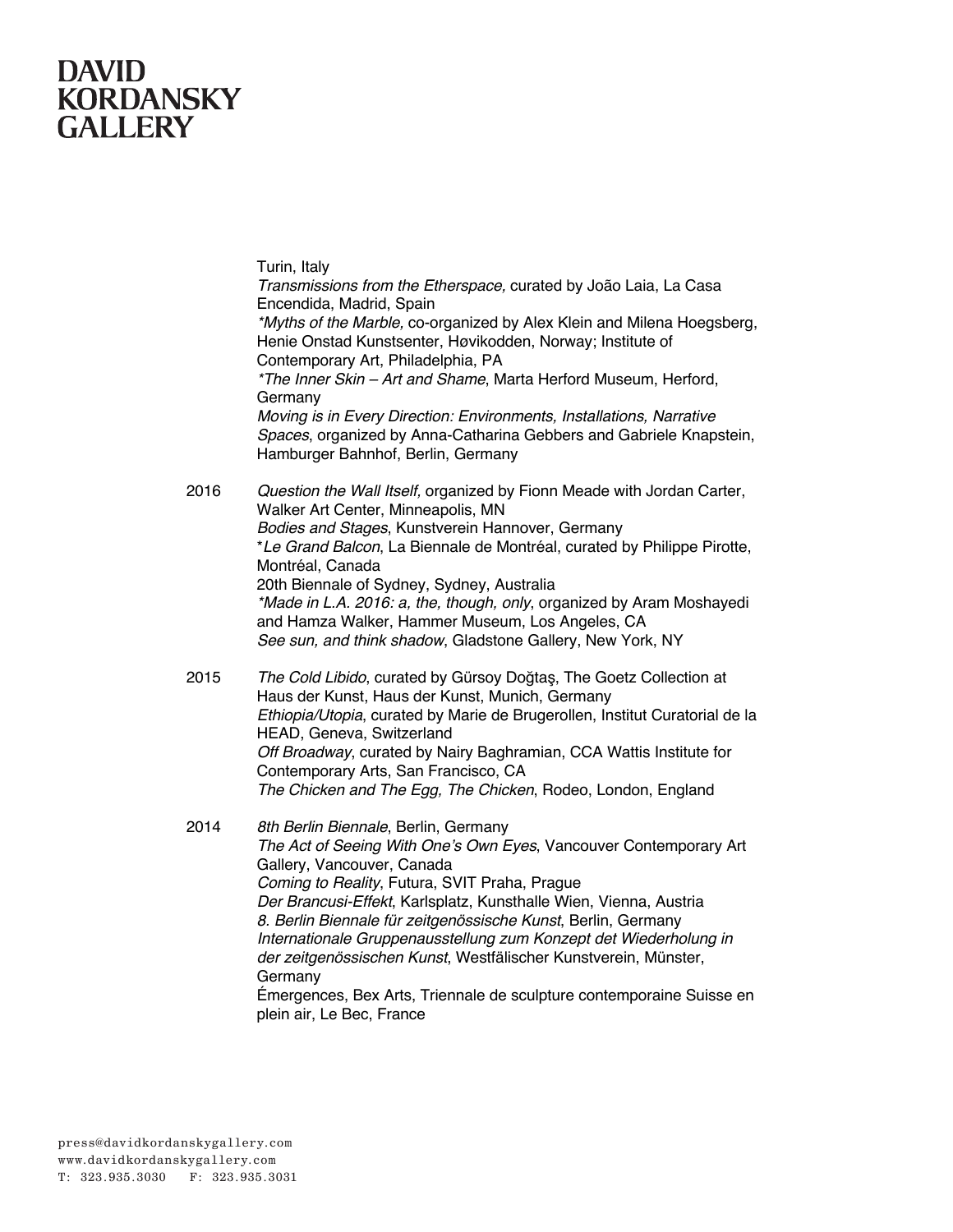Turin, Italy *Transmissions from the Etherspace,* curated by João Laia, La Casa Encendida, Madrid, Spain *\*Myths of the Marble,* co-organized by Alex Klein and Milena Hoegsberg, Henie Onstad Kunstsenter, Høvikodden, Norway; Institute of Contemporary Art, Philadelphia, PA *\*The Inner Skin – Art and Shame*, Marta Herford Museum, Herford, Germany *Moving is in Every Direction: Environments, Installations, Narrative Spaces*, organized by Anna-Catharina Gebbers and Gabriele Knapstein, Hamburger Bahnhof, Berlin, Germany 2016 *Question the Wall Itself,* organized by Fionn Meade with Jordan Carter, Walker Art Center, Minneapolis, MN *Bodies and Stages*, Kunstverein Hannover, Germany \**Le Grand Balcon*, La Biennale de Montréal, curated by Philippe Pirotte, Montréal, Canada 20th Biennale of Sydney, Sydney, Australia *\*Made in L.A. 2016: a, the, though, only*, organized by Aram Moshayedi and Hamza Walker, Hammer Museum, Los Angeles, CA *See sun, and think shadow*, Gladstone Gallery, New York, NY 2015 *The Cold Libido*, curated by Gürsoy Doğtaş, The Goetz Collection at Haus der Kunst, Haus der Kunst, Munich, Germany *Ethiopia/Utopia*, curated by Marie de Brugerollen, Institut Curatorial de la HEAD, Geneva, Switzerland *Off Broadway*, curated by Nairy Baghramian, CCA Wattis Institute for Contemporary Arts, San Francisco, CA *The Chicken and The Egg, The Chicken*, Rodeo, London, England 2014 *8th Berlin Biennale*, Berlin, Germany *The Act of Seeing With One's Own Eyes*, Vancouver Contemporary Art Gallery, Vancouver, Canada *Coming to Reality*, Futura, SVIT Praha, Prague *Der Brancusi-Effekt*, Karlsplatz, Kunsthalle Wien, Vienna, Austria *8. Berlin Biennale für zeitgenössische Kunst*, Berlin, Germany *Internationale Gruppenausstellung zum Konzept det Wiederholung in der zeitgenössischen Kunst*, Westfälischer Kunstverein, Münster, Germany Émergences, Bex Arts, Triennale de sculpture contemporaine Suisse en plein air, Le Bec, France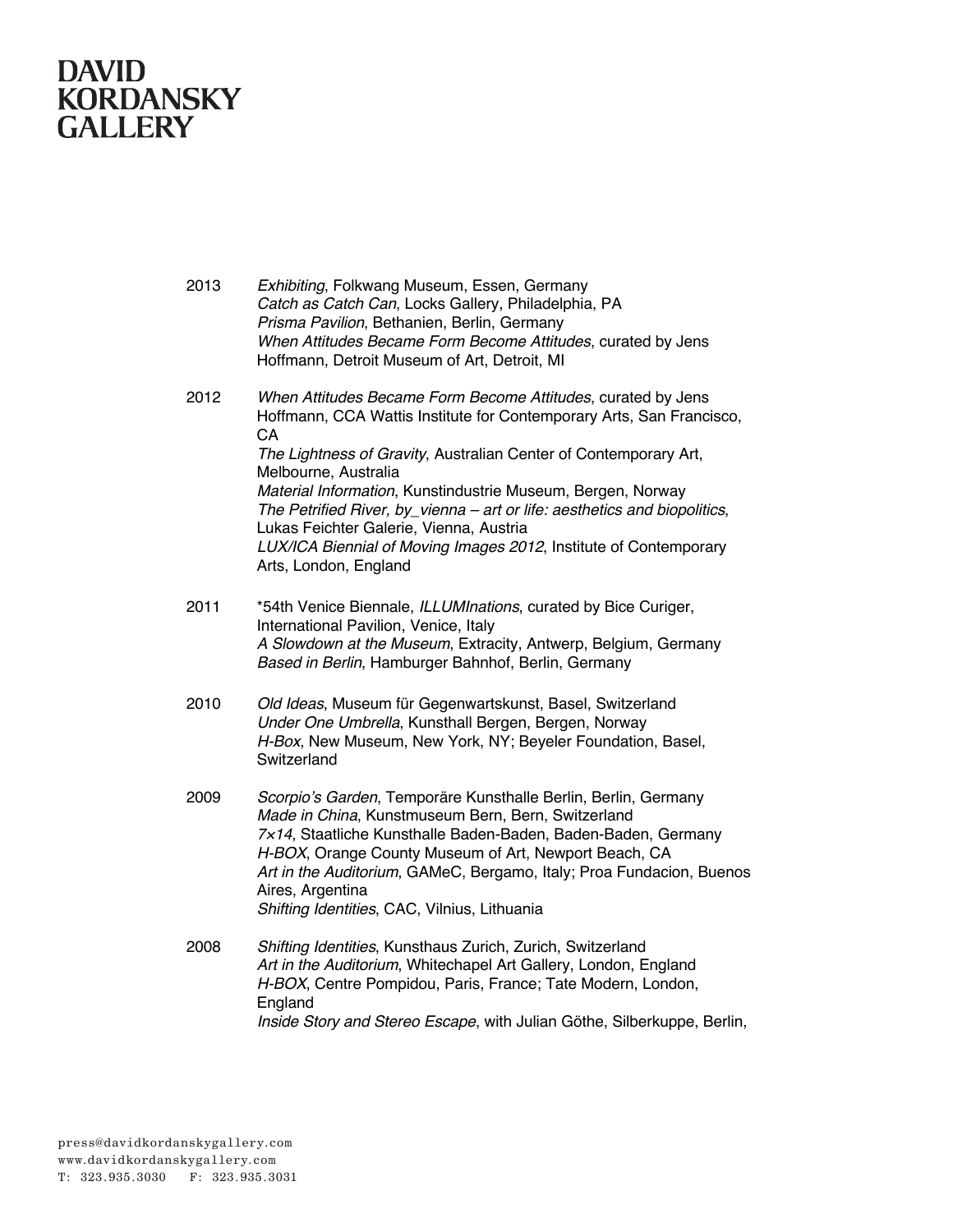2013 *Exhibiting*, Folkwang Museum, Essen, Germany *Catch as Catch Can*, Locks Gallery, Philadelphia, PA *Prisma Pavilion*, Bethanien, Berlin, Germany *When Attitudes Became Form Become Attitudes*, curated by Jens Hoffmann, Detroit Museum of Art, Detroit, MI 2012 *When Attitudes Became Form Become Attitudes*, curated by Jens Hoffmann, CCA Wattis Institute for Contemporary Arts, San Francisco, CA *The Lightness of Gravity*, Australian Center of Contemporary Art, Melbourne, Australia *Material Information*, Kunstindustrie Museum, Bergen, Norway *The Petrified River, by\_vienna – art or life: aesthetics and biopolitics*, Lukas Feichter Galerie, Vienna, Austria *LUX/ICA Biennial of Moving Images 2012*, Institute of Contemporary Arts, London, England 2011 \*54th Venice Biennale, *ILLUMInations*, curated by Bice Curiger, International Pavilion, Venice, Italy *A Slowdown at the Museum*, Extracity, Antwerp, Belgium, Germany *Based in Berlin*, Hamburger Bahnhof, Berlin, Germany 2010 *Old Ideas*, Museum für Gegenwartskunst, Basel, Switzerland *Under One Umbrella*, Kunsthall Bergen, Bergen, Norway *H-Box*, New Museum, New York, NY; Beyeler Foundation, Basel, **Switzerland** 2009 *Scorpio's Garden*, Temporäre Kunsthalle Berlin, Berlin, Germany *Made in China*, Kunstmuseum Bern, Bern, Switzerland *7*×*14*, Staatliche Kunsthalle Baden-Baden, Baden-Baden, Germany *H-BOX*, Orange County Museum of Art, Newport Beach, CA *Art in the Auditorium*, GAMeC, Bergamo, Italy; Proa Fundacion, Buenos Aires, Argentina *Shifting Identities*, CAC, Vilnius, Lithuania 2008 *Shifting Identities*, Kunsthaus Zurich, Zurich, Switzerland *Art in the Auditorium*, Whitechapel Art Gallery, London, England *H-BOX*, Centre Pompidou, Paris, France; Tate Modern, London, England *Inside Story and Stereo Escape*, with Julian Göthe, Silberkuppe, Berlin,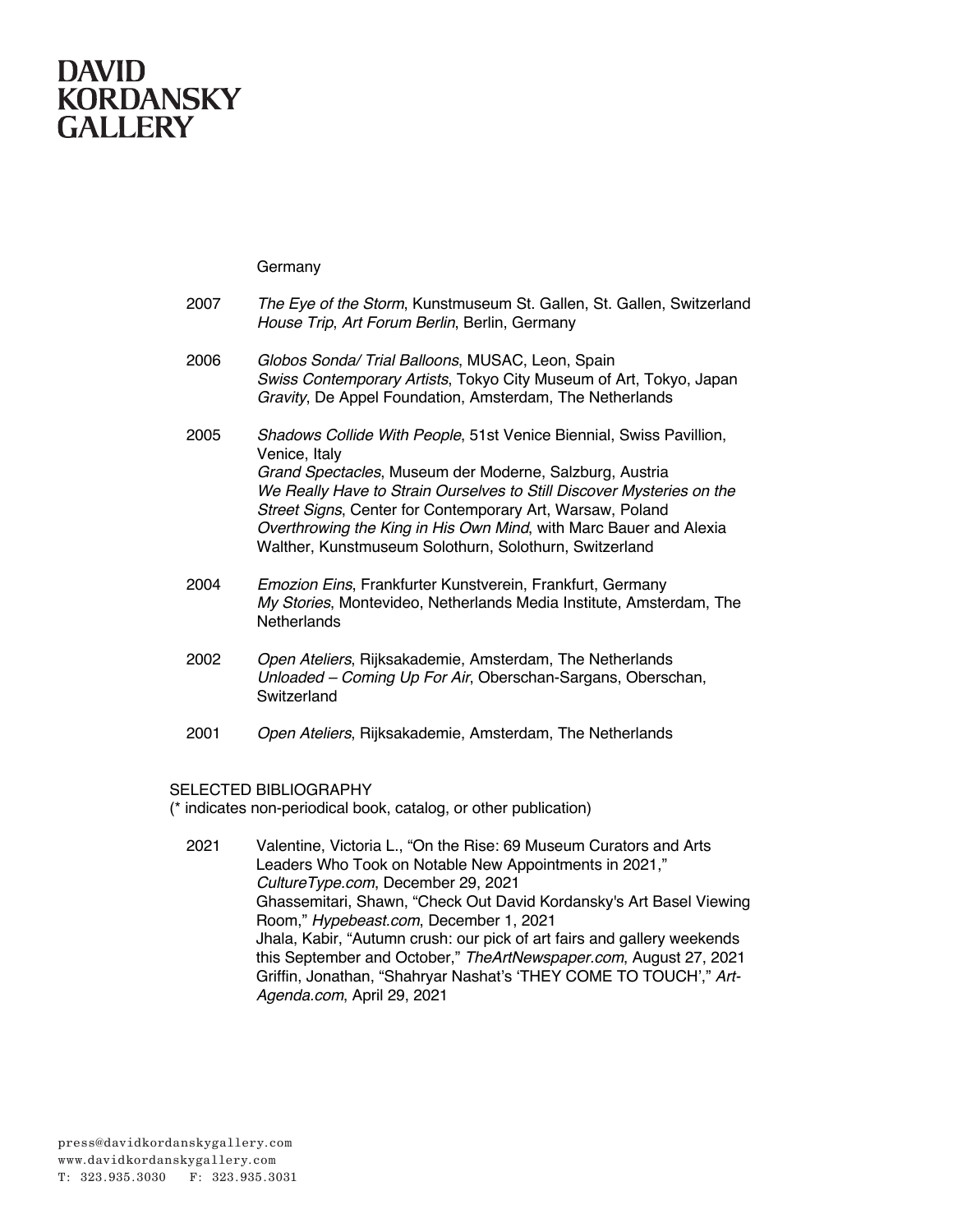Germany

| 2007 | The Eye of the Storm, Kunstmuseum St. Gallen, St. Gallen, Switzerland<br>House Trip, Art Forum Berlin, Berlin, Germany                                                                                                                                                                                                                                                                                               |
|------|----------------------------------------------------------------------------------------------------------------------------------------------------------------------------------------------------------------------------------------------------------------------------------------------------------------------------------------------------------------------------------------------------------------------|
| 2006 | Globos Sonda/ Trial Balloons, MUSAC, Leon, Spain<br>Swiss Contemporary Artists, Tokyo City Museum of Art, Tokyo, Japan<br>Gravity, De Appel Foundation, Amsterdam, The Netherlands                                                                                                                                                                                                                                   |
| 2005 | Shadows Collide With People, 51st Venice Biennial, Swiss Pavillion,<br>Venice, Italy<br>Grand Spectacles, Museum der Moderne, Salzburg, Austria<br>We Really Have to Strain Ourselves to Still Discover Mysteries on the<br>Street Signs, Center for Contemporary Art, Warsaw, Poland<br>Overthrowing the King in His Own Mind, with Marc Bauer and Alexia<br>Walther, Kunstmuseum Solothurn, Solothurn, Switzerland |
| 2004 | Emozion Eins, Frankfurter Kunstverein, Frankfurt, Germany<br>My Stories, Montevideo, Netherlands Media Institute, Amsterdam, The<br><b>Netherlands</b>                                                                                                                                                                                                                                                               |
| 2002 | Open Ateliers, Rijksakademie, Amsterdam, The Netherlands<br>Unloaded – Coming Up For Air, Oberschan-Sargans, Oberschan,<br>Switzerland                                                                                                                                                                                                                                                                               |
| 2001 | Open Ateliers, Rijksakademie, Amsterdam, The Netherlands                                                                                                                                                                                                                                                                                                                                                             |
|      |                                                                                                                                                                                                                                                                                                                                                                                                                      |

#### SELECTED BIBLIOGRAPHY

(\* indicates non-periodical book, catalog, or other publication)

2021 Valentine, Victoria L., "On the Rise: 69 Museum Curators and Arts Leaders Who Took on Notable New Appointments in 2021," *CultureType.com*, December 29, 2021 Ghassemitari, Shawn, "Check Out David Kordansky's Art Basel Viewing Room," *Hypebeast.com*, December 1, 2021 Jhala, Kabir, "Autumn crush: our pick of art fairs and gallery weekends this September and October," *TheArtNewspaper.com*, August 27, 2021 Griffin, Jonathan, "Shahryar Nashat's 'THEY COME TO TOUCH'," *Art-Agenda.com*, April 29, 2021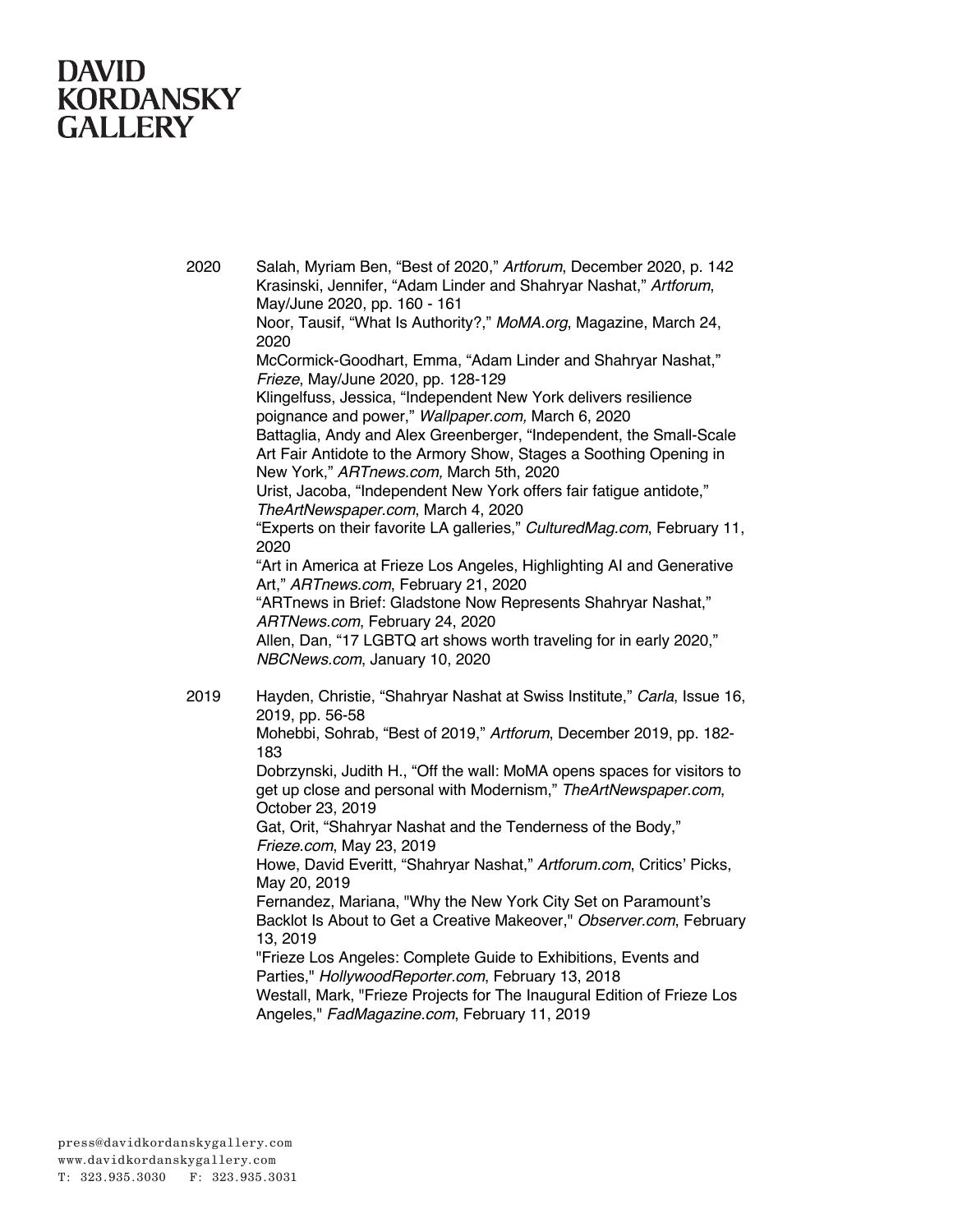2020 Salah, Myriam Ben, "Best of 2020," *Artforum*, December 2020, p. 142 Krasinski, Jennifer, "Adam Linder and Shahryar Nashat," *Artforum*, May/June 2020, pp. 160 - 161 Noor, Tausif, "What Is Authority?," *MoMA.org*, Magazine, March 24, 2020 McCormick-Goodhart, Emma, "Adam Linder and Shahryar Nashat," *Frieze*, May/June 2020, pp. 128-129 Klingelfuss, Jessica, "Independent New York delivers resilience poignance and power," *Wallpaper.com,* March 6, 2020 Battaglia, Andy and Alex Greenberger, "Independent, the Small-Scale Art Fair Antidote to the Armory Show, Stages a Soothing Opening in New York," *ARTnews.com,* March 5th, 2020 Urist, Jacoba, "Independent New York offers fair fatigue antidote," *TheArtNewspaper.com*, March 4, 2020 "Experts on their favorite LA galleries," *CulturedMag.com*, February 11, 2020 "Art in America at Frieze Los Angeles, Highlighting AI and Generative Art," *ARTnews.com*, February 21, 2020 "ARTnews in Brief: Gladstone Now Represents Shahryar Nashat," *ARTNews.com*, February 24, 2020 Allen, Dan, "17 LGBTQ art shows worth traveling for in early 2020," *NBCNews.com*, January 10, 2020 2019 Hayden, Christie, "Shahryar Nashat at Swiss Institute," *Carla*, Issue 16, 2019, pp. 56-58 Mohebbi, Sohrab, "Best of 2019," *Artforum*, December 2019, pp. 182- 183 Dobrzynski, Judith H., "Off the wall: MoMA opens spaces for visitors to get up close and personal with Modernism," *TheArtNewspaper.com*, October 23, 2019 Gat, Orit, "Shahryar Nashat and the Tenderness of the Body," *Frieze.com*, May 23, 2019 Howe, David Everitt, "Shahryar Nashat," *Artforum.com*, Critics' Picks, May 20, 2019 Fernandez, Mariana, "Why the New York City Set on Paramount's Backlot Is About to Get a Creative Makeover," *Observer.com*, February 13, 2019 "Frieze Los Angeles: Complete Guide to Exhibitions, Events and Parties," *HollywoodReporter.com*, February 13, 2018 Westall, Mark, "Frieze Projects for The Inaugural Edition of Frieze Los Angeles," *FadMagazine.com*, February 11, 2019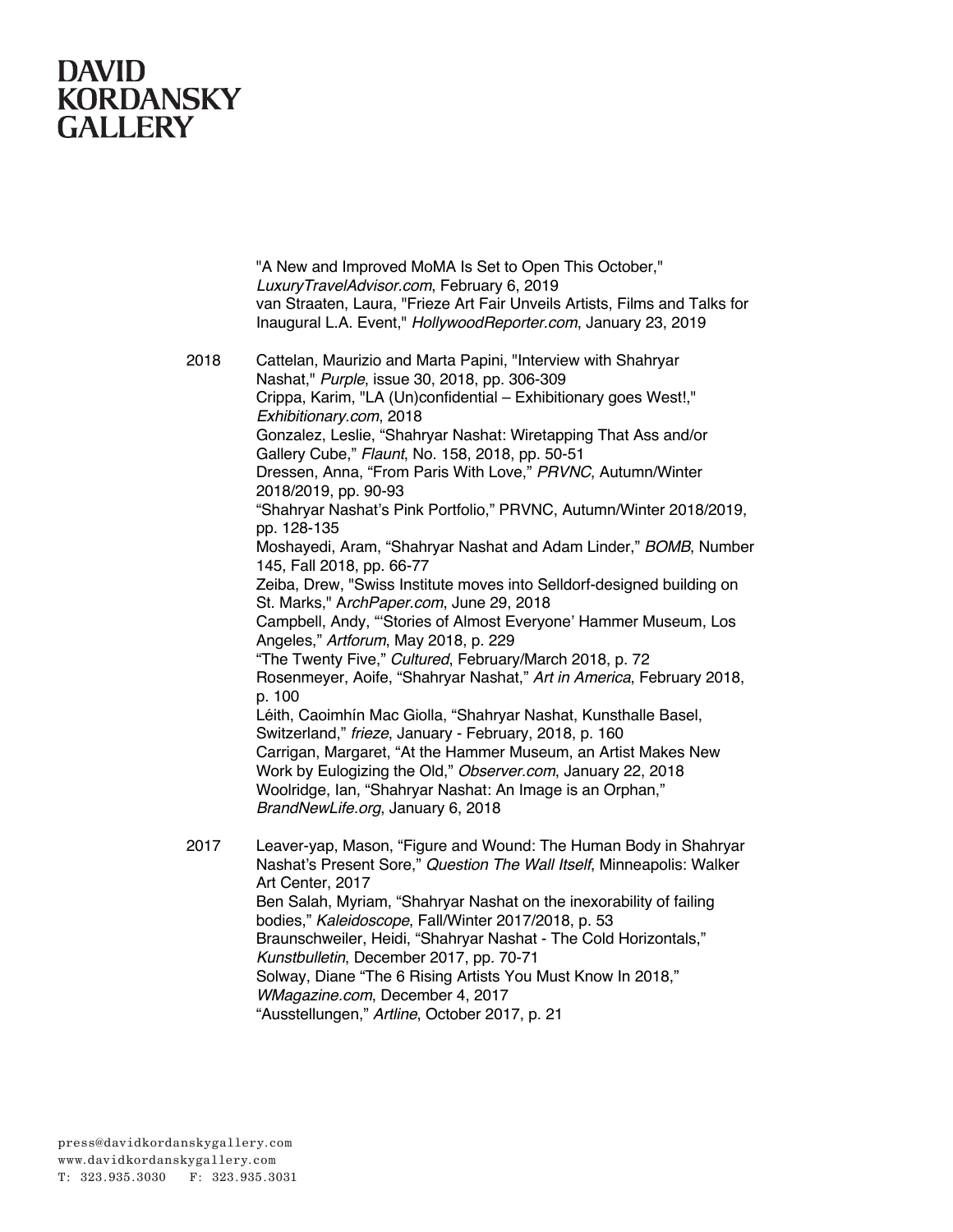"A New and Improved MoMA Is Set to Open This October," *LuxuryTravelAdvisor.com*, February 6, 2019 van Straaten, Laura, "Frieze Art Fair Unveils Artists, Films and Talks for Inaugural L.A. Event," *HollywoodReporter.com*, January 23, 2019

2018 Cattelan, Maurizio and Marta Papini, "Interview with Shahryar Nashat," *Purple*, issue 30, 2018, pp. 306-309 Crippa, Karim, "LA (Un)confidential – Exhibitionary goes West!," *Exhibitionary.com*, 2018 Gonzalez, Leslie, "Shahryar Nashat: Wiretapping That Ass and/or Gallery Cube," *Flaunt*, No. 158, 2018, pp. 50-51 Dressen, Anna, "From Paris With Love," *PRVNC*, Autumn/Winter 2018/2019, pp. 90-93 "Shahryar Nashat's Pink Portfolio," PRVNC, Autumn/Winter 2018/2019, pp. 128-135 Moshayedi, Aram, "Shahryar Nashat and Adam Linder," *BOMB*, Number 145, Fall 2018, pp. 66-77 Zeiba, Drew, "Swiss Institute moves into Selldorf-designed building on St. Marks," A*rchPaper.com*, June 29, 2018 Campbell, Andy, "'Stories of Almost Everyone' Hammer Museum, Los Angeles," *Artforum*, May 2018, p. 229 "The Twenty Five," *Cultured*, February/March 2018, p. 72 Rosenmeyer, Aoife, "Shahryar Nashat," *Art in America*, February 2018, p. 100 Léith, Caoimhín Mac Giolla, "Shahryar Nashat, Kunsthalle Basel, Switzerland," *frieze*, January - February, 2018, p. 160 Carrigan, Margaret, "At the Hammer Museum, an Artist Makes New Work by Eulogizing the Old," *Observer.com*, January 22, 2018 Woolridge, Ian, "Shahryar Nashat: An Image is an Orphan," *BrandNewLife.org*, January 6, 2018 2017 Leaver-yap, Mason, "Figure and Wound: The Human Body in Shahryar Nashat's Present Sore," *Question The Wall Itself*, Minneapolis: Walker Art Center, 2017 Ben Salah, Myriam, "Shahryar Nashat on the inexorability of failing bodies," *Kaleidoscope*, Fall/Winter 2017/2018, p. 53 Braunschweiler, Heidi, "Shahryar Nashat - The Cold Horizontals," *Kunstbulletin*, December 2017, pp. 70-71

Solway, Diane "The 6 Rising Artists You Must Know In 2018,"

*WMagazine.com*, December 4, 2017

"Ausstellungen," *Artline*, October 2017, p. 21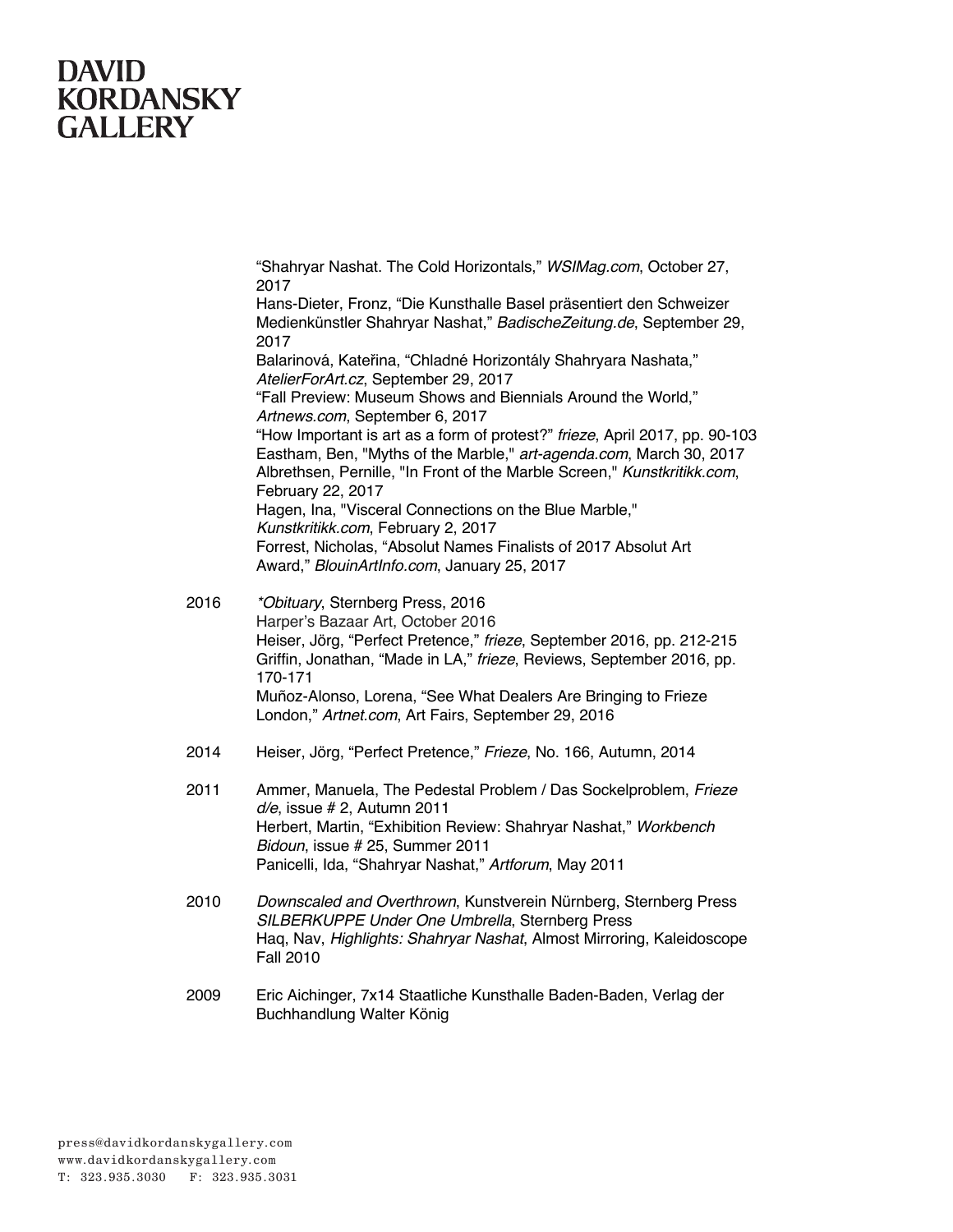"Shahryar Nashat. The Cold Horizontals," *WSIMag.com*, October 27, 2017

Hans-Dieter, Fronz, "Die Kunsthalle Basel präsentiert den Schweizer Medienkünstler Shahryar Nashat," *BadischeZeitung.de*, September 29, 2017 Balarinová, Kateřina, "Chladné Horizontály Shahryara Nashata," *AtelierForArt.cz*, September 29, 2017 "Fall Preview: Museum Shows and Biennials Around the World," *Artnews.com*, September 6, 2017 "How Important is art as a form of protest?" *frieze*, April 2017, pp. 90-103 Eastham, Ben, "Myths of the Marble," *art-agenda.com*, March 30, 2017 Albrethsen, Pernille, "In Front of the Marble Screen," *Kunstkritikk.com*, February 22, 2017 Hagen, Ina, "Visceral Connections on the Blue Marble," *Kunstkritikk.com*, February 2, 2017 Forrest, Nicholas, "Absolut Names Finalists of 2017 Absolut Art Award," *BlouinArtInfo.com*, January 25, 2017

- 2016 *\*Obituary*, Sternberg Press, 2016 Harper's Bazaar Art, October 2016 Heiser, Jörg, "Perfect Pretence," *frieze*, September 2016, pp. 212-215 Griffin, Jonathan, "Made in LA," *frieze*, Reviews, September 2016, pp. 170-171 Muñoz-Alonso, Lorena, "See What Dealers Are Bringing to Frieze London," *Artnet.com*, Art Fairs, September 29, 2016
- 2014 Heiser, Jörg, "Perfect Pretence," *Frieze*, No. 166, Autumn, 2014
- 2011 Ammer, Manuela, The Pedestal Problem / Das Sockelproblem, *Frieze d/e*, issue # 2, Autumn 2011 Herbert, Martin, "Exhibition Review: Shahryar Nashat," *Workbench Bidoun*, issue # 25, Summer 2011 Panicelli, Ida, "Shahryar Nashat," *Artforum*, May 2011
- 2010 *Downscaled and Overthrown*, Kunstverein Nürnberg, Sternberg Press *SILBERKUPPE Under One Umbrella*, Sternberg Press Haq, Nav, *Highlights: Shahryar Nashat*, Almost Mirroring, Kaleidoscope Fall 2010
- 2009 Eric Aichinger, 7x14 Staatliche Kunsthalle Baden-Baden, Verlag der Buchhandlung Walter König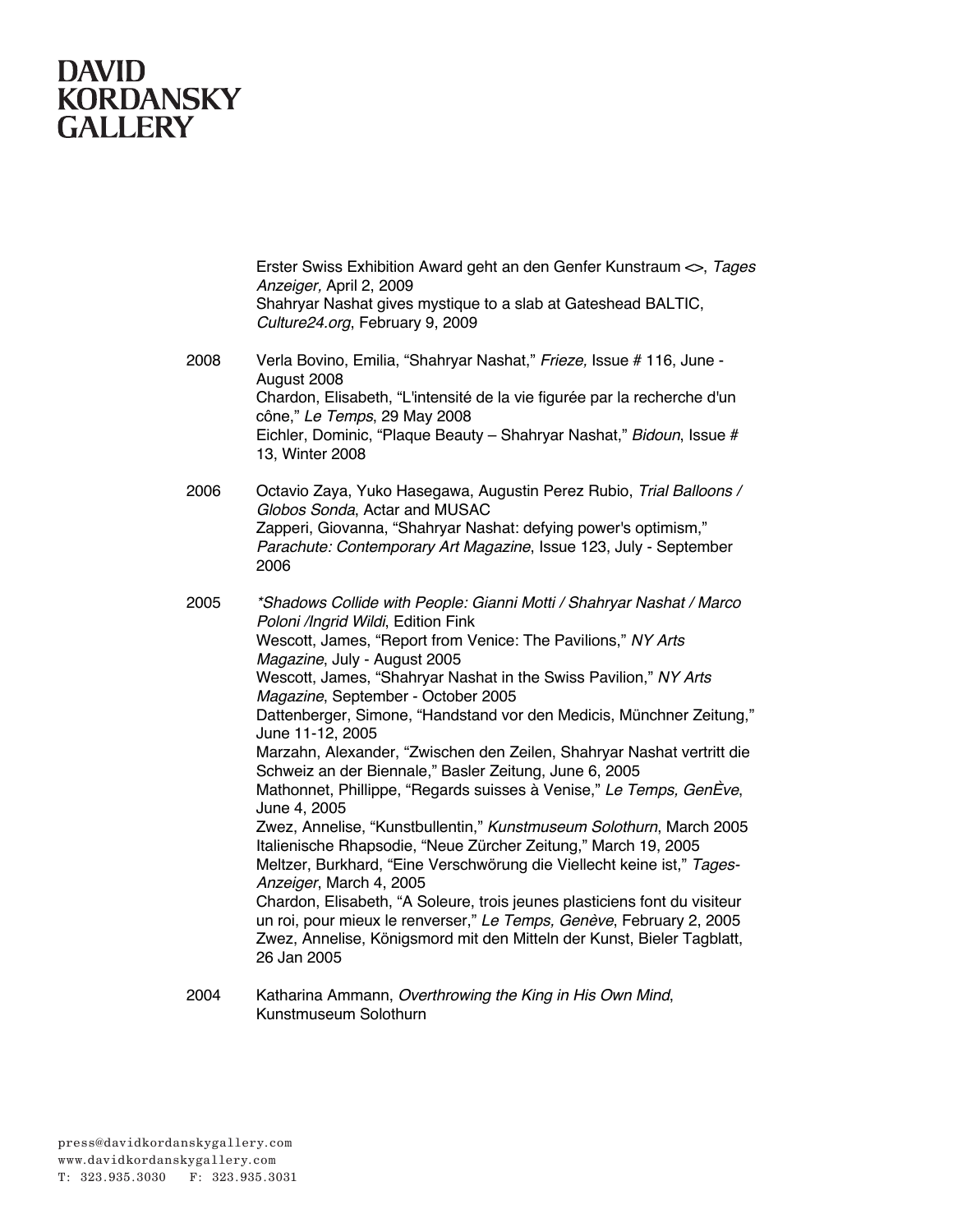Erster Swiss Exhibition Award geht an den Genfer Kunstraum <>, *Tages Anzeiger,* April 2, 2009 Shahryar Nashat gives mystique to a slab at Gateshead BALTIC, *Culture24.org*, February 9, 2009

2008 Verla Bovino, Emilia, "Shahryar Nashat," *Frieze,* Issue # 116, June - August 2008 Chardon, Elisabeth, "L'intensité de la vie figurée par la recherche d'un cône," *Le Temps*, 29 May 2008 Eichler, Dominic, "Plaque Beauty – Shahryar Nashat," *Bidoun*, Issue # 13, Winter 2008

2006 Octavio Zaya, Yuko Hasegawa, Augustin Perez Rubio, *Trial Balloons / Globos Sonda*, Actar and MUSAC Zapperi, Giovanna, "Shahryar Nashat: defying power's optimism," *Parachute: Contemporary Art Magazine*, Issue 123, July - September 2006

2005 *\*Shadows Collide with People: Gianni Motti / Shahryar Nashat / Marco Poloni /Ingrid Wildi*, Edition Fink Wescott, James, "Report from Venice: The Pavilions," *NY Arts Magazine*, July - August 2005 Wescott, James, "Shahryar Nashat in the Swiss Pavilion," *NY Arts Magazine*, September - October 2005 Dattenberger, Simone, "Handstand vor den Medicis, Münchner Zeitung," June 11-12, 2005 Marzahn, Alexander, "Zwischen den Zeilen, Shahryar Nashat vertritt die Schweiz an der Biennale," Basler Zeitung, June 6, 2005 Mathonnet, Phillippe, "Regards suisses à Venise," *Le Temps, GenÈve*, June 4, 2005 Zwez, Annelise, "Kunstbullentin," *Kunstmuseum Solothurn*, March 2005 Italienische Rhapsodie, "Neue Zürcher Zeitung," March 19, 2005 Meltzer, Burkhard, "Eine Verschwörung die Viellecht keine ist," *Tages-Anzeiger*, March 4, 2005 Chardon, Elisabeth, "A Soleure, trois jeunes plasticiens font du visiteur un roi, pour mieux le renverser," *Le Temps, Genève*, February 2, 2005 Zwez, Annelise, Königsmord mit den Mitteln der Kunst, Bieler Tagblatt, 26 Jan 2005

2004 Katharina Ammann, *Overthrowing the King in His Own Mind*, Kunstmuseum Solothurn